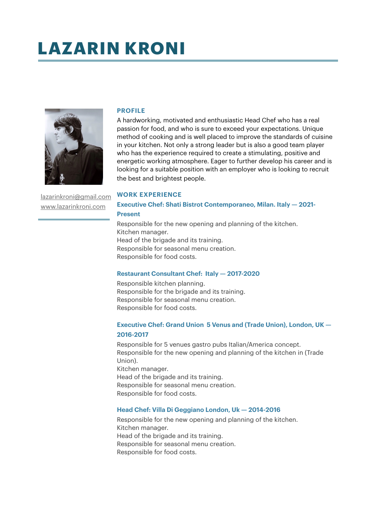# **LAZARIN KRONI**



[lazarinkroni@gmail.com](mailto:lazarinkroni@gmail.com) [www.lazarinkroni.com](http://www.lazarinkroni.com)

### **PROFILE**

A hardworking, motivated and enthusiastic Head Chef who has a real passion for food, and who is sure to exceed your expectations. Unique method of cooking and is well placed to improve the standards of cuisine in your kitchen. Not only a strong leader but is also a good team player who has the experience required to create a stimulating, positive and energetic working atmosphere. Eager to further develop his career and is looking for a suitable position with an employer who is looking to recruit the best and brightest people.

#### **WORK EXPERIENCE**

# **Executive Chef: Shati Bistrot Contemporaneo, Milan. Italy — 2021- Present**

Responsible for the new opening and planning of the kitchen. Kitchen manager. Head of the brigade and its training. Responsible for seasonal menu creation. Responsible for food costs.

## **Restaurant Consultant Chef: Italy — 2017-2020**

Responsible kitchen planning. Responsible for the brigade and its training. Responsible for seasonal menu creation. Responsible for food costs.

# **Executive Chef: Grand Union 5 Venus and (Trade Union), London, UK — 2016-2017**

Responsible for 5 venues gastro pubs Italian/America concept. Responsible for the new opening and planning of the kitchen in (Trade Union). Kitchen manager. Head of the brigade and its training. Responsible for seasonal menu creation. Responsible for food costs.

## **Head Chef: Villa Di Geggiano London, Uk — 2014-2016**

Responsible for the new opening and planning of the kitchen. Kitchen manager. Head of the brigade and its training. Responsible for seasonal menu creation. Responsible for food costs.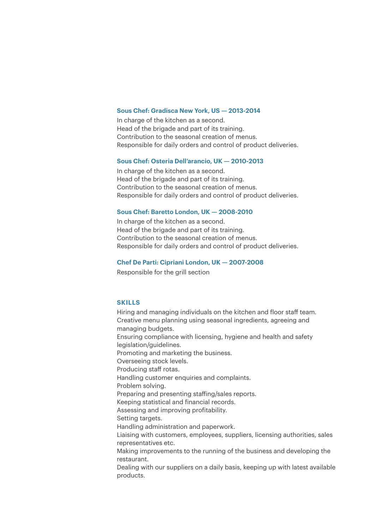#### **Sous Chef: Gradisca New York, US — 2013-2014**

In charge of the kitchen as a second. Head of the brigade and part of its training. Contribution to the seasonal creation of menus. Responsible for daily orders and control of product deliveries.

## **Sous Chef: Osteria Dell'arancio, UK — 2010-2013**

In charge of the kitchen as a second. Head of the brigade and part of its training. Contribution to the seasonal creation of menus. Responsible for daily orders and control of product deliveries.

## **Sous Chef: Baretto London, UK — 2008-2010**

In charge of the kitchen as a second. Head of the brigade and part of its training. Contribution to the seasonal creation of menus. Responsible for daily orders and control of product deliveries.

#### **Chef De Parti: Cipriani London, UK — 2007-2008**

Responsible for the grill section

## **SKILLS**

Hiring and managing individuals on the kitchen and floor staff team. Creative menu planning using seasonal ingredients, agreeing and managing budgets. Ensuring compliance with licensing, hygiene and health and safety legislation/guidelines. Promoting and marketing the business. Overseeing stock levels. Producing staff rotas. Handling customer enquiries and complaints. Problem solving. Preparing and presenting staffing/sales reports. Keeping statistical and financial records. Assessing and improving profitability. Setting targets. Handling administration and paperwork. Liaising with customers, employees, suppliers, licensing authorities, sales representatives etc. Making improvements to the running of the business and developing the restaurant. Dealing with our suppliers on a daily basis, keeping up with latest available products.